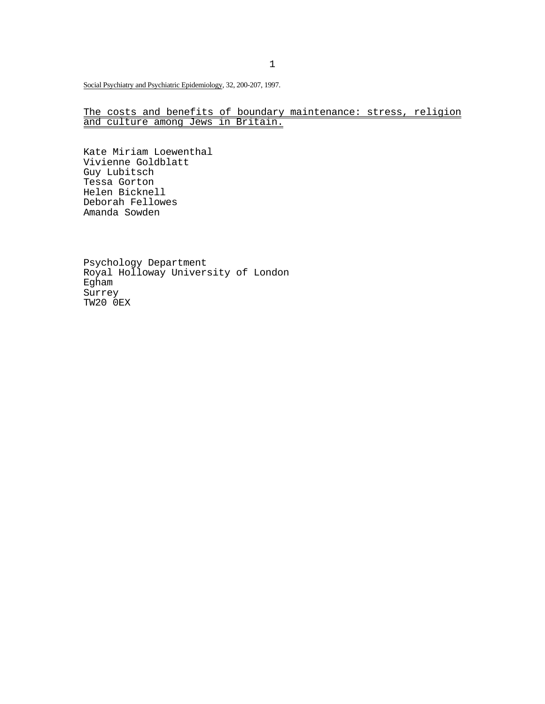Social Psychiatry and Psychiatric Epidemiology, 32, 200-207, 1997.

## The costs and benefits of boundary maintenance: stress, religion and culture among Jews in Britain.

Kate Miriam Loewenthal Vivienne Goldblatt Guy Lubitsch Tessa Gorton Helen Bicknell Deborah Fellowes Amanda Sowden

Psychology Department Royal Holloway University of London Egham Surrey TW20 0EX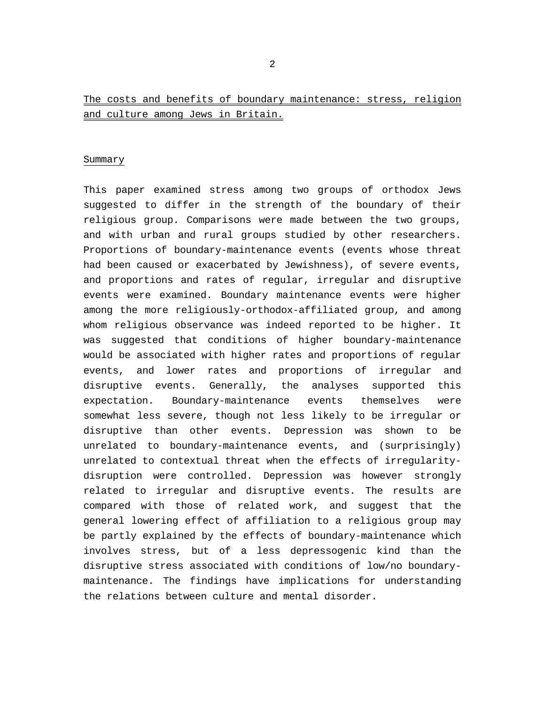# The costs and benefits of boundary maintenance: stress, religion and culture among Jews in Britain.

## Summary

This paper examined stress among two groups of orthodox Jews suggested to differ in the strength of the boundary of their religious group. Comparisons were made between the two groups, and with urban and rural groups studied by other researchers. Proportions of boundary-maintenance events (events whose threat had been caused or exacerbated by Jewishness), of severe events, and proportions and rates of regular, irregular and disruptive events were examined. Boundary maintenance events were higher among the more religiously-orthodox-affiliated group, and among whom religious observance was indeed reported to be higher. It was suggested that conditions of higher boundary-maintenance would be associated with higher rates and proportions of regular events, and lower rates and proportions of irregular and disruptive events. Generally, the analyses supported this expectation. Boundary-maintenance events themselves were somewhat less severe, though not less likely to be irregular or disruptive than other events. Depression was shown to be unrelated to boundary-maintenance events, and (surprisingly) unrelated to contextual threat when the effects of irregularitydisruption were controlled. Depression was however strongly related to irregular and disruptive events. The results are compared with those of related work, and suggest that the general lowering effect of affiliation to a religious group may be partly explained by the effects of boundary-maintenance which involves stress, but of a less depressogenic kind than the disruptive stress associated with conditions of low/no boundarymaintenance. The findings have implications for understanding the relations between culture and mental disorder.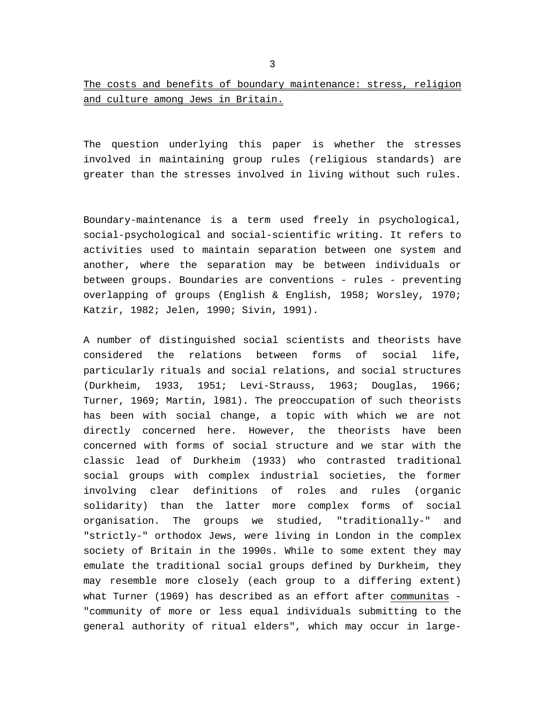The question underlying this paper is whether the stresses involved in maintaining group rules (religious standards) are greater than the stresses involved in living without such rules.

Boundary-maintenance is a term used freely in psychological, social-psychological and social-scientific writing. It refers to activities used to maintain separation between one system and another, where the separation may be between individuals or between groups. Boundaries are conventions - rules - preventing overlapping of groups (English & English, 1958; Worsley, 1970; Katzir, 1982; Jelen, 1990; Sivin, 1991).

A number of distinguished social scientists and theorists have considered the relations between forms of social life, particularly rituals and social relations, and social structures (Durkheim, 1933, 1951; Levi-Strauss, 1963; Douglas, 1966; Turner, 1969; Martin, l981). The preoccupation of such theorists has been with social change, a topic with which we are not directly concerned here. However, the theorists have been concerned with forms of social structure and we star with the classic lead of Durkheim (1933) who contrasted traditional social groups with complex industrial societies, the former involving clear definitions of roles and rules (organic solidarity) than the latter more complex forms of social organisation. The groups we studied, "traditionally-" and "strictly-" orthodox Jews, were living in London in the complex society of Britain in the 1990s. While to some extent they may emulate the traditional social groups defined by Durkheim, they may resemble more closely (each group to a differing extent) what Turner (1969) has described as an effort after communitas - "community of more or less equal individuals submitting to the general authority of ritual elders", which may occur in large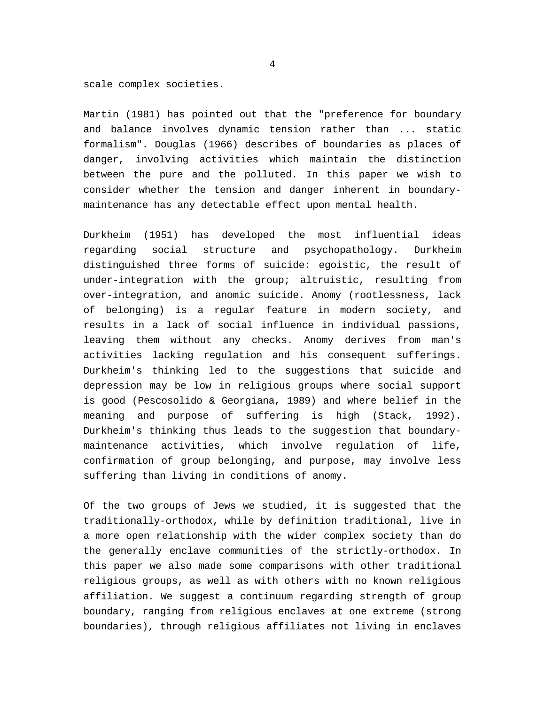scale complex societies.

Martin (1981) has pointed out that the "preference for boundary and balance involves dynamic tension rather than ... static formalism". Douglas (1966) describes of boundaries as places of danger, involving activities which maintain the distinction between the pure and the polluted. In this paper we wish to consider whether the tension and danger inherent in boundarymaintenance has any detectable effect upon mental health.

Durkheim (1951) has developed the most influential ideas regarding social structure and psychopathology. Durkheim distinguished three forms of suicide: egoistic, the result of under-integration with the group; altruistic, resulting from over-integration, and anomic suicide. Anomy (rootlessness, lack of belonging) is a regular feature in modern society, and results in a lack of social influence in individual passions, leaving them without any checks. Anomy derives from man's activities lacking regulation and his consequent sufferings. Durkheim's thinking led to the suggestions that suicide and depression may be low in religious groups where social support is good (Pescosolido & Georgiana, 1989) and where belief in the meaning and purpose of suffering is high (Stack, 1992). Durkheim's thinking thus leads to the suggestion that boundarymaintenance activities, which involve regulation of life, confirmation of group belonging, and purpose, may involve less suffering than living in conditions of anomy.

Of the two groups of Jews we studied, it is suggested that the traditionally-orthodox, while by definition traditional, live in a more open relationship with the wider complex society than do the generally enclave communities of the strictly-orthodox. In this paper we also made some comparisons with other traditional religious groups, as well as with others with no known religious affiliation. We suggest a continuum regarding strength of group boundary, ranging from religious enclaves at one extreme (strong boundaries), through religious affiliates not living in enclaves

4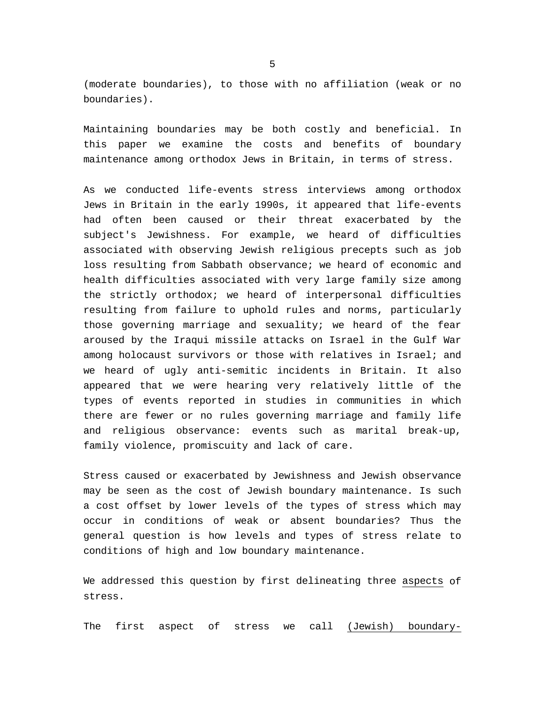(moderate boundaries), to those with no affiliation (weak or no boundaries).

Maintaining boundaries may be both costly and beneficial. In this paper we examine the costs and benefits of boundary maintenance among orthodox Jews in Britain, in terms of stress.

As we conducted life-events stress interviews among orthodox Jews in Britain in the early 1990s, it appeared that life-events had often been caused or their threat exacerbated by the subject's Jewishness. For example, we heard of difficulties associated with observing Jewish religious precepts such as job loss resulting from Sabbath observance; we heard of economic and health difficulties associated with very large family size among the strictly orthodox; we heard of interpersonal difficulties resulting from failure to uphold rules and norms, particularly those governing marriage and sexuality; we heard of the fear aroused by the Iraqui missile attacks on Israel in the Gulf War among holocaust survivors or those with relatives in Israel; and we heard of ugly anti-semitic incidents in Britain. It also appeared that we were hearing very relatively little of the types of events reported in studies in communities in which there are fewer or no rules governing marriage and family life and religious observance: events such as marital break-up, family violence, promiscuity and lack of care.

Stress caused or exacerbated by Jewishness and Jewish observance may be seen as the cost of Jewish boundary maintenance. Is such a cost offset by lower levels of the types of stress which may occur in conditions of weak or absent boundaries? Thus the general question is how levels and types of stress relate to conditions of high and low boundary maintenance.

We addressed this question by first delineating three aspects of stress.

The first aspect of stress we call (Jewish) boundary-

 $\sim$  5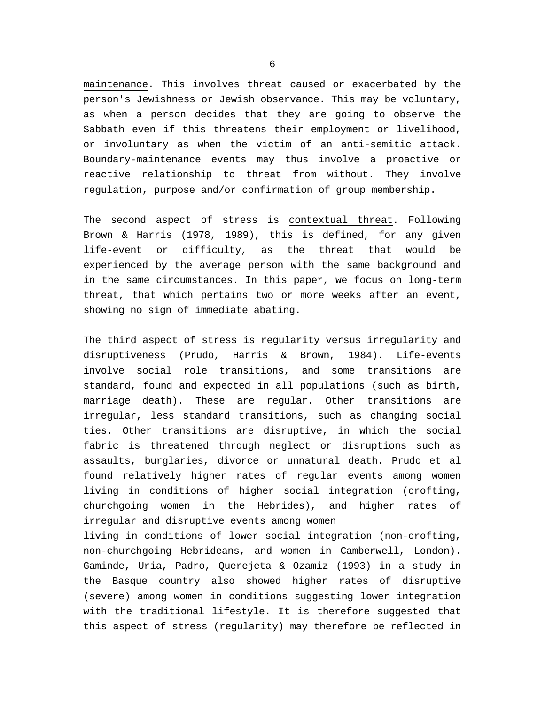maintenance. This involves threat caused or exacerbated by the person's Jewishness or Jewish observance. This may be voluntary, as when a person decides that they are going to observe the Sabbath even if this threatens their employment or livelihood, or involuntary as when the victim of an anti-semitic attack. Boundary-maintenance events may thus involve a proactive or reactive relationship to threat from without. They involve regulation, purpose and/or confirmation of group membership.

The second aspect of stress is contextual threat. Following Brown & Harris (1978, 1989), this is defined, for any given life-event or difficulty, as the threat that would be experienced by the average person with the same background and in the same circumstances. In this paper, we focus on long-term threat, that which pertains two or more weeks after an event, showing no sign of immediate abating.

The third aspect of stress is regularity versus irregularity and disruptiveness (Prudo, Harris & Brown, 1984). Life-events involve social role transitions, and some transitions are standard, found and expected in all populations (such as birth, marriage death). These are regular. Other transitions are irregular, less standard transitions, such as changing social ties. Other transitions are disruptive, in which the social fabric is threatened through neglect or disruptions such as assaults, burglaries, divorce or unnatural death. Prudo et al found relatively higher rates of regular events among women living in conditions of higher social integration (crofting, churchgoing women in the Hebrides), and higher rates of irregular and disruptive events among women

living in conditions of lower social integration (non-crofting, non-churchgoing Hebrideans, and women in Camberwell, London). Gaminde, Uria, Padro, Querejeta & Ozamiz (1993) in a study in the Basque country also showed higher rates of disruptive (severe) among women in conditions suggesting lower integration with the traditional lifestyle. It is therefore suggested that this aspect of stress (regularity) may therefore be reflected in

 $\sim$  6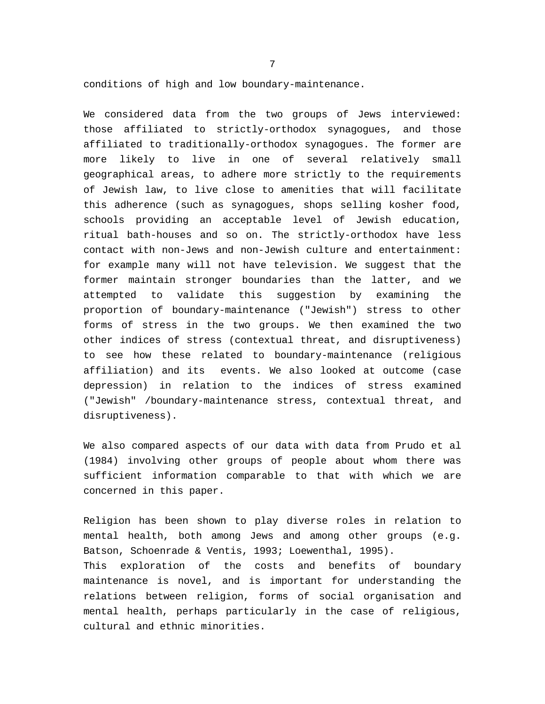conditions of high and low boundary-maintenance.

We considered data from the two groups of Jews interviewed: those affiliated to strictly-orthodox synagogues, and those affiliated to traditionally-orthodox synagogues. The former are more likely to live in one of several relatively small geographical areas, to adhere more strictly to the requirements of Jewish law, to live close to amenities that will facilitate this adherence (such as synagogues, shops selling kosher food, schools providing an acceptable level of Jewish education, ritual bath-houses and so on. The strictly-orthodox have less contact with non-Jews and non-Jewish culture and entertainment: for example many will not have television. We suggest that the former maintain stronger boundaries than the latter, and we attempted to validate this suggestion by examining the proportion of boundary-maintenance ("Jewish") stress to other forms of stress in the two groups. We then examined the two other indices of stress (contextual threat, and disruptiveness) to see how these related to boundary-maintenance (religious affiliation) and its events. We also looked at outcome (case depression) in relation to the indices of stress examined ("Jewish" /boundary-maintenance stress, contextual threat, and disruptiveness).

We also compared aspects of our data with data from Prudo et al (1984) involving other groups of people about whom there was sufficient information comparable to that with which we are concerned in this paper.

Religion has been shown to play diverse roles in relation to mental health, both among Jews and among other groups (e.g. Batson, Schoenrade & Ventis, 1993; Loewenthal, 1995). This exploration of the costs and benefits of boundary maintenance is novel, and is important for understanding the relations between religion, forms of social organisation and mental health, perhaps particularly in the case of religious, cultural and ethnic minorities.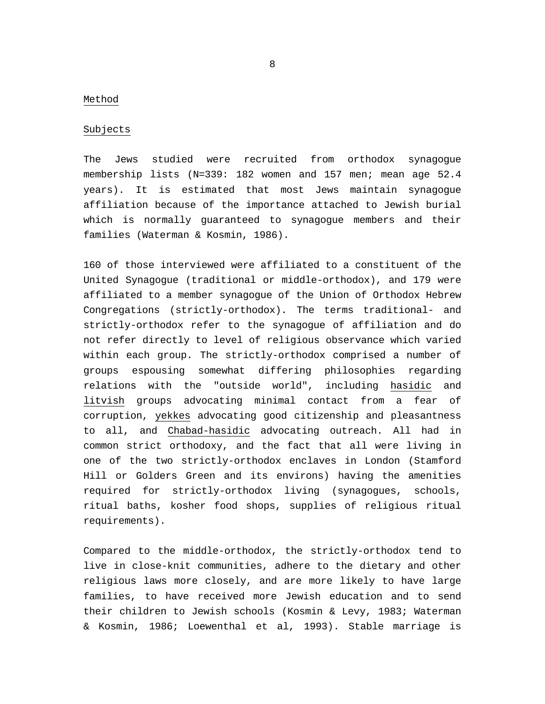### Method

### Subjects

The Jews studied were recruited from orthodox synagogue membership lists (N=339: 182 women and 157 men; mean age 52.4 years). It is estimated that most Jews maintain synagogue affiliation because of the importance attached to Jewish burial which is normally guaranteed to synagogue members and their families (Waterman & Kosmin, 1986).

160 of those interviewed were affiliated to a constituent of the United Synagogue (traditional or middle-orthodox), and 179 were affiliated to a member synagogue of the Union of Orthodox Hebrew Congregations (strictly-orthodox). The terms traditional- and strictly-orthodox refer to the synagogue of affiliation and do not refer directly to level of religious observance which varied within each group. The strictly-orthodox comprised a number of groups espousing somewhat differing philosophies regarding relations with the "outside world", including hasidic and litvish groups advocating minimal contact from a fear of corruption, yekkes advocating good citizenship and pleasantness to all, and Chabad-hasidic advocating outreach. All had in common strict orthodoxy, and the fact that all were living in one of the two strictly-orthodox enclaves in London (Stamford Hill or Golders Green and its environs) having the amenities required for strictly-orthodox living (synagogues, schools, ritual baths, kosher food shops, supplies of religious ritual requirements).

Compared to the middle-orthodox, the strictly-orthodox tend to live in close-knit communities, adhere to the dietary and other religious laws more closely, and are more likely to have large families, to have received more Jewish education and to send their children to Jewish schools (Kosmin & Levy, 1983; Waterman & Kosmin, 1986; Loewenthal et al, 1993). Stable marriage is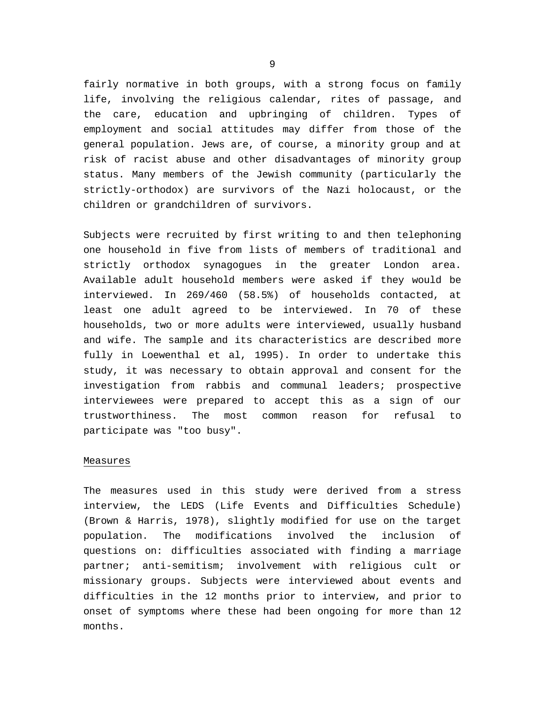fairly normative in both groups, with a strong focus on family life, involving the religious calendar, rites of passage, and the care, education and upbringing of children. Types of employment and social attitudes may differ from those of the general population. Jews are, of course, a minority group and at risk of racist abuse and other disadvantages of minority group status. Many members of the Jewish community (particularly the strictly-orthodox) are survivors of the Nazi holocaust, or the children or grandchildren of survivors.

Subjects were recruited by first writing to and then telephoning one household in five from lists of members of traditional and strictly orthodox synagogues in the greater London area. Available adult household members were asked if they would be interviewed. In 269/460 (58.5%) of households contacted, at least one adult agreed to be interviewed. In 70 of these households, two or more adults were interviewed, usually husband and wife. The sample and its characteristics are described more fully in Loewenthal et al, 1995). In order to undertake this study, it was necessary to obtain approval and consent for the investigation from rabbis and communal leaders; prospective interviewees were prepared to accept this as a sign of our trustworthiness. The most common reason for refusal to participate was "too busy".

#### Measures

The measures used in this study were derived from a stress interview, the LEDS (Life Events and Difficulties Schedule) (Brown & Harris, 1978), slightly modified for use on the target population. The modifications involved the inclusion of questions on: difficulties associated with finding a marriage partner; anti-semitism; involvement with religious cult or missionary groups. Subjects were interviewed about events and difficulties in the 12 months prior to interview, and prior to onset of symptoms where these had been ongoing for more than 12 months.

9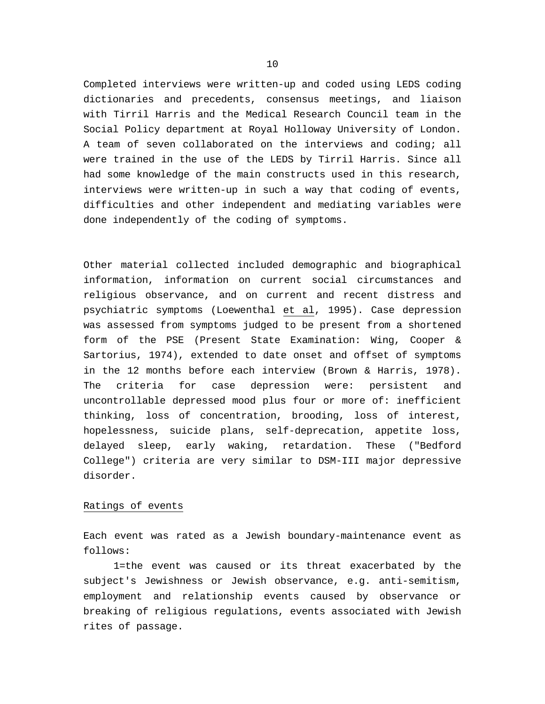Completed interviews were written-up and coded using LEDS coding dictionaries and precedents, consensus meetings, and liaison with Tirril Harris and the Medical Research Council team in the Social Policy department at Royal Holloway University of London. A team of seven collaborated on the interviews and coding; all were trained in the use of the LEDS by Tirril Harris. Since all had some knowledge of the main constructs used in this research, interviews were written-up in such a way that coding of events, difficulties and other independent and mediating variables were done independently of the coding of symptoms.

Other material collected included demographic and biographical information, information on current social circumstances and religious observance, and on current and recent distress and psychiatric symptoms (Loewenthal et al, 1995). Case depression was assessed from symptoms judged to be present from a shortened form of the PSE (Present State Examination: Wing, Cooper & Sartorius, 1974), extended to date onset and offset of symptoms in the 12 months before each interview (Brown & Harris, 1978). The criteria for case depression were: persistent and uncontrollable depressed mood plus four or more of: inefficient thinking, loss of concentration, brooding, loss of interest, hopelessness, suicide plans, self-deprecation, appetite loss, delayed sleep, early waking, retardation. These ("Bedford College") criteria are very similar to DSM-III major depressive disorder.

## Ratings of events

Each event was rated as a Jewish boundary-maintenance event as follows:

 1=the event was caused or its threat exacerbated by the subject's Jewishness or Jewish observance, e.g. anti-semitism, employment and relationship events caused by observance or breaking of religious regulations, events associated with Jewish rites of passage.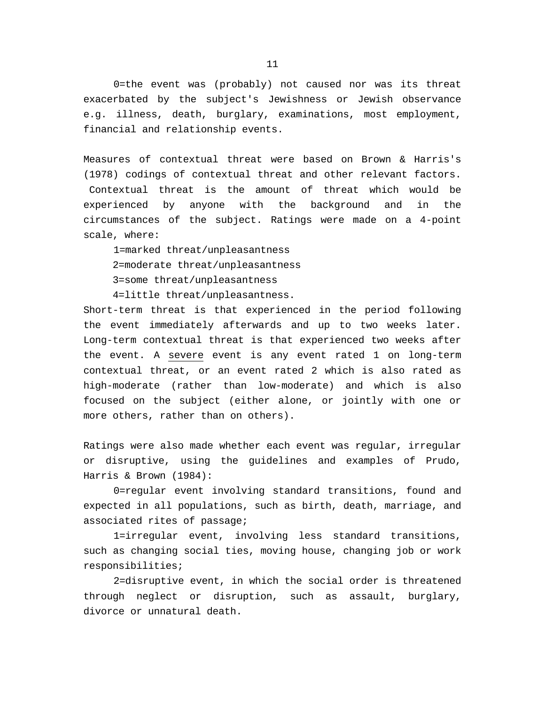0=the event was (probably) not caused nor was its threat exacerbated by the subject's Jewishness or Jewish observance e.g. illness, death, burglary, examinations, most employment, financial and relationship events.

Measures of contextual threat were based on Brown & Harris's (1978) codings of contextual threat and other relevant factors. Contextual threat is the amount of threat which would be experienced by anyone with the background and in the circumstances of the subject. Ratings were made on a 4-point scale, where:

 1=marked threat/unpleasantness 2=moderate threat/unpleasantness 3=some threat/unpleasantness

4=little threat/unpleasantness.

Short-term threat is that experienced in the period following the event immediately afterwards and up to two weeks later. Long-term contextual threat is that experienced two weeks after the event. A severe event is any event rated 1 on long-term contextual threat, or an event rated 2 which is also rated as high-moderate (rather than low-moderate) and which is also focused on the subject (either alone, or jointly with one or more others, rather than on others).

Ratings were also made whether each event was regular, irregular or disruptive, using the guidelines and examples of Prudo, Harris & Brown (1984):

 0=regular event involving standard transitions, found and expected in all populations, such as birth, death, marriage, and associated rites of passage;

 1=irregular event, involving less standard transitions, such as changing social ties, moving house, changing job or work responsibilities;

 2=disruptive event, in which the social order is threatened through neglect or disruption, such as assault, burglary, divorce or unnatural death.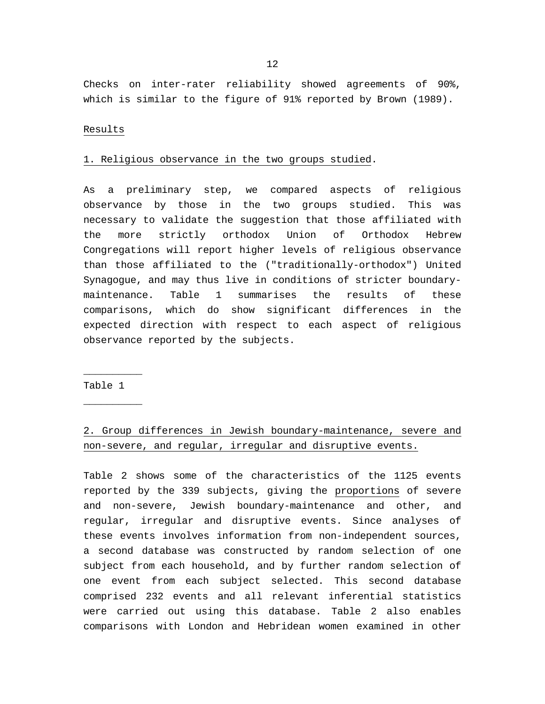Checks on inter-rater reliability showed agreements of 90%, which is similar to the figure of 91% reported by Brown (1989).

### Results

#### 1. Religious observance in the two groups studied.

As a preliminary step, we compared aspects of religious observance by those in the two groups studied. This was necessary to validate the suggestion that those affiliated with the more strictly orthodox Union of Orthodox Hebrew Congregations will report higher levels of religious observance than those affiliated to the ("traditionally-orthodox") United Synagogue, and may thus live in conditions of stricter boundarymaintenance. Table 1 summarises the results of these comparisons, which do show significant differences in the expected direction with respect to each aspect of religious observance reported by the subjects.

## Table 1

 $\overline{\phantom{a}}$  , where  $\overline{\phantom{a}}$ 

 $\overline{\phantom{a}}$  , where  $\overline{\phantom{a}}$ 

# 2. Group differences in Jewish boundary-maintenance, severe and non-severe, and regular, irregular and disruptive events.

Table 2 shows some of the characteristics of the 1125 events reported by the 339 subjects, giving the proportions of severe and non-severe, Jewish boundary-maintenance and other, and regular, irregular and disruptive events. Since analyses of these events involves information from non-independent sources, a second database was constructed by random selection of one subject from each household, and by further random selection of one event from each subject selected. This second database comprised 232 events and all relevant inferential statistics were carried out using this database. Table 2 also enables comparisons with London and Hebridean women examined in other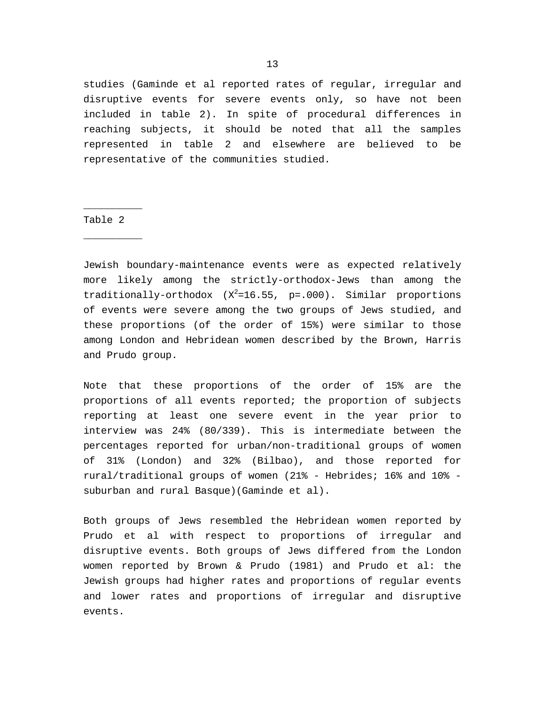studies (Gaminde et al reported rates of regular, irregular and disruptive events for severe events only, so have not been included in table 2). In spite of procedural differences in reaching subjects, it should be noted that all the samples represented in table 2 and elsewhere are believed to be representative of the communities studied.

## Table 2

 $\overline{\phantom{a}}$  , where  $\overline{\phantom{a}}$ 

 $\overline{\phantom{a}}$  , where  $\overline{\phantom{a}}$ 

Jewish boundary-maintenance events were as expected relatively more likely among the strictly-orthodox-Jews than among the traditionally-orthodox  $(X^2=16.55, p=.000)$ . Similar proportions of events were severe among the two groups of Jews studied, and these proportions (of the order of 15%) were similar to those among London and Hebridean women described by the Brown, Harris and Prudo group.

Note that these proportions of the order of 15% are the proportions of all events reported; the proportion of subjects reporting at least one severe event in the year prior to interview was 24% (80/339). This is intermediate between the percentages reported for urban/non-traditional groups of women of 31% (London) and 32% (Bilbao), and those reported for rural/traditional groups of women (21% - Hebrides; 16% and 10% suburban and rural Basque)(Gaminde et al).

Both groups of Jews resembled the Hebridean women reported by Prudo et al with respect to proportions of irregular and disruptive events. Both groups of Jews differed from the London women reported by Brown & Prudo (1981) and Prudo et al: the Jewish groups had higher rates and proportions of regular events and lower rates and proportions of irregular and disruptive events.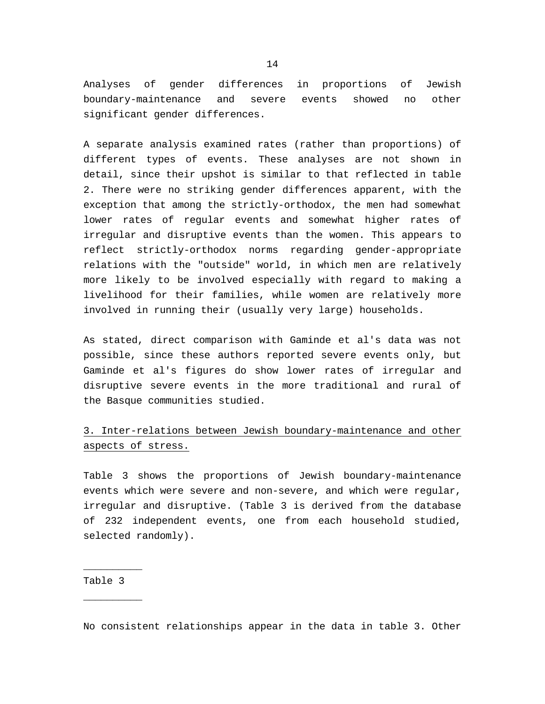Analyses of gender differences in proportions of Jewish boundary-maintenance and severe events showed no other significant gender differences.

A separate analysis examined rates (rather than proportions) of different types of events. These analyses are not shown in detail, since their upshot is similar to that reflected in table 2. There were no striking gender differences apparent, with the exception that among the strictly-orthodox, the men had somewhat lower rates of regular events and somewhat higher rates of irregular and disruptive events than the women. This appears to reflect strictly-orthodox norms regarding gender-appropriate relations with the "outside" world, in which men are relatively more likely to be involved especially with regard to making a livelihood for their families, while women are relatively more involved in running their (usually very large) households.

As stated, direct comparison with Gaminde et al's data was not possible, since these authors reported severe events only, but Gaminde et al's figures do show lower rates of irregular and disruptive severe events in the more traditional and rural of the Basque communities studied.

# 3. Inter-relations between Jewish boundary-maintenance and other aspects of stress.

Table 3 shows the proportions of Jewish boundary-maintenance events which were severe and non-severe, and which were regular, irregular and disruptive. (Table 3 is derived from the database of 232 independent events, one from each household studied, selected randomly).

Table 3

 $\overline{\phantom{a}}$  , where  $\overline{\phantom{a}}$ 

 $\overline{\phantom{a}}$  , where  $\overline{\phantom{a}}$ 

No consistent relationships appear in the data in table 3. Other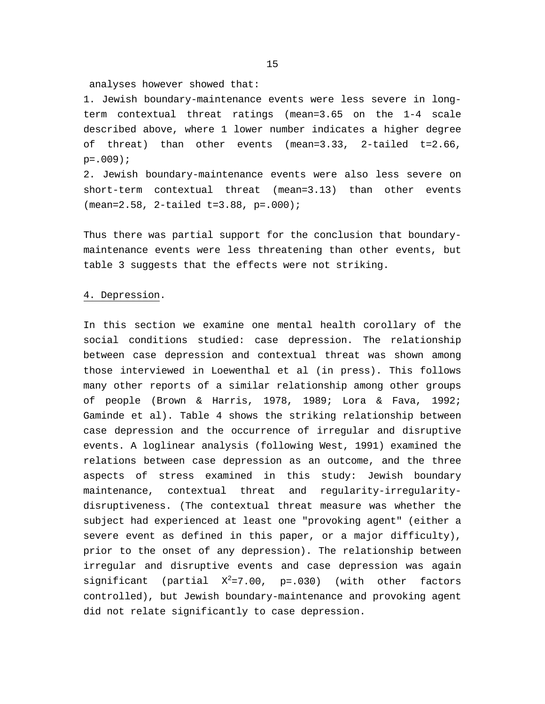analyses however showed that:

1. Jewish boundary-maintenance events were less severe in longterm contextual threat ratings (mean=3.65 on the 1-4 scale described above, where 1 lower number indicates a higher degree of threat) than other events (mean=3.33, 2-tailed t=2.66,  $p = .009$ ;

2. Jewish boundary-maintenance events were also less severe on short-term contextual threat (mean=3.13) than other events (mean=2.58, 2-tailed t=3.88, p=.000);

Thus there was partial support for the conclusion that boundarymaintenance events were less threatening than other events, but table 3 suggests that the effects were not striking.

### 4. Depression.

In this section we examine one mental health corollary of the social conditions studied: case depression. The relationship between case depression and contextual threat was shown among those interviewed in Loewenthal et al (in press). This follows many other reports of a similar relationship among other groups of people (Brown & Harris, 1978, 1989; Lora & Fava, 1992; Gaminde et al). Table 4 shows the striking relationship between case depression and the occurrence of irregular and disruptive events. A loglinear analysis (following West, 1991) examined the relations between case depression as an outcome, and the three aspects of stress examined in this study: Jewish boundary maintenance, contextual threat and regularity-irregularitydisruptiveness. (The contextual threat measure was whether the subject had experienced at least one "provoking agent" (either a severe event as defined in this paper, or a major difficulty), prior to the onset of any depression). The relationship between irregular and disruptive events and case depression was again significant (partial  $X^2=7.00$ , p=.030) (with other factors controlled), but Jewish boundary-maintenance and provoking agent did not relate significantly to case depression.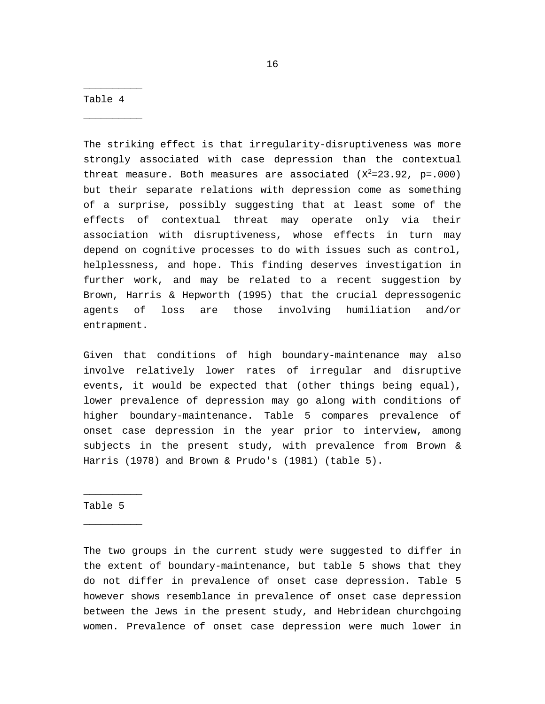Table 4

 $\overline{\phantom{a}}$  , where  $\overline{\phantom{a}}$ 

 $\overline{\phantom{a}}$  , where  $\overline{\phantom{a}}$ 

The striking effect is that irregularity-disruptiveness was more strongly associated with case depression than the contextual threat measure. Both measures are associated  $(X^2=23.92, p=.000)$ but their separate relations with depression come as something of a surprise, possibly suggesting that at least some of the effects of contextual threat may operate only via their association with disruptiveness, whose effects in turn may depend on cognitive processes to do with issues such as control, helplessness, and hope. This finding deserves investigation in further work, and may be related to a recent suggestion by Brown, Harris & Hepworth (1995) that the crucial depressogenic agents of loss are those involving humiliation and/or entrapment.

Given that conditions of high boundary-maintenance may also involve relatively lower rates of irregular and disruptive events, it would be expected that (other things being equal), lower prevalence of depression may go along with conditions of higher boundary-maintenance. Table 5 compares prevalence of onset case depression in the year prior to interview, among subjects in the present study, with prevalence from Brown & Harris (1978) and Brown & Prudo's (1981) (table 5).

## Table 5

 $\overline{\phantom{a}}$  , where  $\overline{\phantom{a}}$ 

 $\overline{\phantom{a}}$  , where  $\overline{\phantom{a}}$ 

The two groups in the current study were suggested to differ in the extent of boundary-maintenance, but table 5 shows that they do not differ in prevalence of onset case depression. Table 5 however shows resemblance in prevalence of onset case depression between the Jews in the present study, and Hebridean churchgoing women. Prevalence of onset case depression were much lower in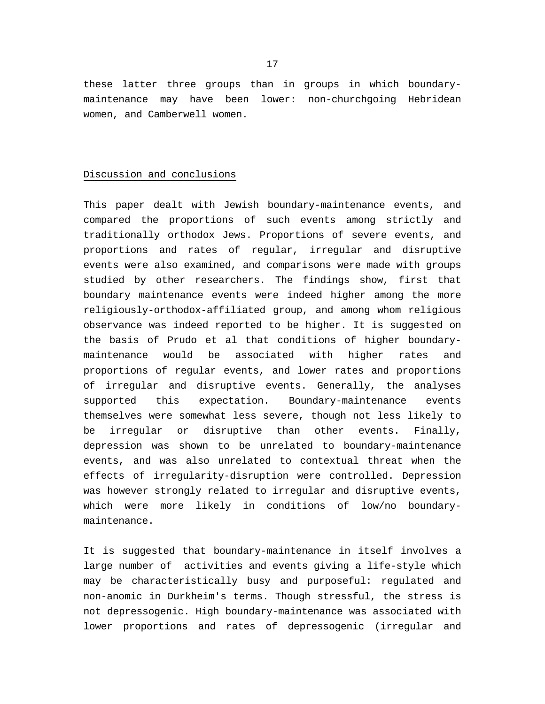these latter three groups than in groups in which boundarymaintenance may have been lower: non-churchgoing Hebridean women, and Camberwell women.

## Discussion and conclusions

This paper dealt with Jewish boundary-maintenance events, and compared the proportions of such events among strictly and traditionally orthodox Jews. Proportions of severe events, and proportions and rates of regular, irregular and disruptive events were also examined, and comparisons were made with groups studied by other researchers. The findings show, first that boundary maintenance events were indeed higher among the more religiously-orthodox-affiliated group, and among whom religious observance was indeed reported to be higher. It is suggested on the basis of Prudo et al that conditions of higher boundarymaintenance would be associated with higher rates and proportions of regular events, and lower rates and proportions of irregular and disruptive events. Generally, the analyses supported this expectation. Boundary-maintenance events themselves were somewhat less severe, though not less likely to be irregular or disruptive than other events. Finally, depression was shown to be unrelated to boundary-maintenance events, and was also unrelated to contextual threat when the effects of irregularity-disruption were controlled. Depression was however strongly related to irregular and disruptive events, which were more likely in conditions of low/no boundarymaintenance.

It is suggested that boundary-maintenance in itself involves a large number of activities and events giving a life-style which may be characteristically busy and purposeful: regulated and non-anomic in Durkheim's terms. Though stressful, the stress is not depressogenic. High boundary-maintenance was associated with lower proportions and rates of depressogenic (irregular and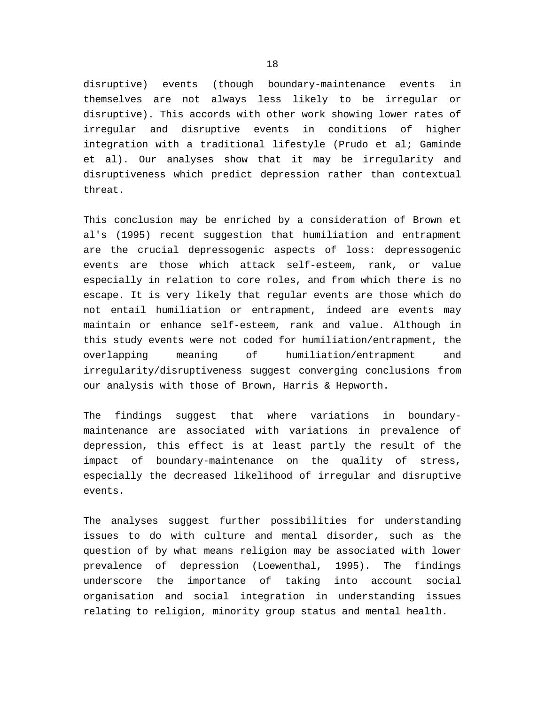disruptive) events (though boundary-maintenance events in themselves are not always less likely to be irregular or disruptive). This accords with other work showing lower rates of irregular and disruptive events in conditions of higher integration with a traditional lifestyle (Prudo et al; Gaminde et al). Our analyses show that it may be irregularity and disruptiveness which predict depression rather than contextual threat.

This conclusion may be enriched by a consideration of Brown et al's (1995) recent suggestion that humiliation and entrapment are the crucial depressogenic aspects of loss: depressogenic events are those which attack self-esteem, rank, or value especially in relation to core roles, and from which there is no escape. It is very likely that regular events are those which do not entail humiliation or entrapment, indeed are events may maintain or enhance self-esteem, rank and value. Although in this study events were not coded for humiliation/entrapment, the overlapping meaning of humiliation/entrapment and irregularity/disruptiveness suggest converging conclusions from our analysis with those of Brown, Harris & Hepworth.

The findings suggest that where variations in boundarymaintenance are associated with variations in prevalence of depression, this effect is at least partly the result of the impact of boundary-maintenance on the quality of stress, especially the decreased likelihood of irregular and disruptive events.

The analyses suggest further possibilities for understanding issues to do with culture and mental disorder, such as the question of by what means religion may be associated with lower prevalence of depression (Loewenthal, 1995). The findings underscore the importance of taking into account social organisation and social integration in understanding issues relating to religion, minority group status and mental health.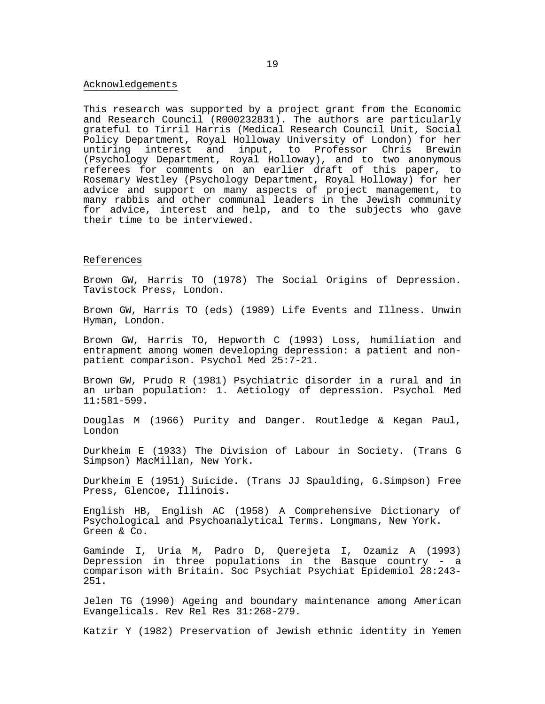#### Acknowledgements

This research was supported by a project grant from the Economic and Research Council (R000232831). The authors are particularly grateful to Tirril Harris (Medical Research Council Unit, Social Policy Department, Royal Holloway University of London) for her untiring interest and input, to Professor Chris Brewin (Psychology Department, Royal Holloway), and to two anonymous referees for comments on an earlier draft of this paper, to Rosemary Westley (Psychology Department, Royal Holloway) for her advice and support on many aspects of project management, to many rabbis and other communal leaders in the Jewish community for advice, interest and help, and to the subjects who gave their time to be interviewed.

#### References

Brown GW, Harris TO (1978) The Social Origins of Depression. Tavistock Press, London.

Brown GW, Harris TO (eds) (1989) Life Events and Illness. Unwin Hyman, London.

Brown GW, Harris TO, Hepworth C (1993) Loss, humiliation and entrapment among women developing depression: a patient and nonpatient comparison. Psychol Med 25:7-21.

Brown GW, Prudo R (1981) Psychiatric disorder in a rural and in an urban population: 1. Aetiology of depression. Psychol Med 11:581-599.

Douglas M (1966) Purity and Danger. Routledge & Kegan Paul, London

Durkheim E (1933) The Division of Labour in Society. (Trans G Simpson) MacMillan, New York.

Durkheim E (1951) Suicide. (Trans JJ Spaulding, G.Simpson) Free Press, Glencoe, Illinois.

English HB, English AC (1958) A Comprehensive Dictionary of Psychological and Psychoanalytical Terms. Longmans, New York. Green & Co.

Gaminde I, Uria M, Padro D, Querejeta I, Ozamiz A (1993) Depression in three populations in the Basque country - a comparison with Britain. Soc Psychiat Psychiat Epidemiol 28:243- 251.

Jelen TG (1990) Ageing and boundary maintenance among American Evangelicals. Rev Rel Res 31:268-279.

Katzir Y (1982) Preservation of Jewish ethnic identity in Yemen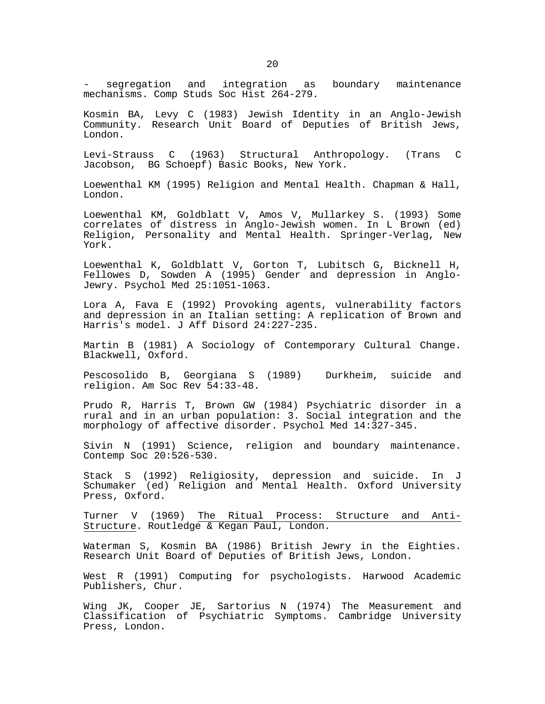segregation and integration as boundary maintenance mechanisms. Comp Studs Soc Hist 264-279.

Kosmin BA, Levy C (1983) Jewish Identity in an Anglo-Jewish Community. Research Unit Board of Deputies of British Jews, London.

Levi-Strauss C (1963) Structural Anthropology. (Trans C Jacobson, BG Schoepf) Basic Books, New York.

Loewenthal KM (1995) Religion and Mental Health. Chapman & Hall, London.

Loewenthal KM, Goldblatt V, Amos V, Mullarkey S. (1993) Some correlates of distress in Anglo-Jewish women. In L Brown (ed) Religion, Personality and Mental Health. Springer-Verlag, New York.

Loewenthal K, Goldblatt V, Gorton T, Lubitsch G, Bicknell H, Fellowes D, Sowden A (1995) Gender and depression in Anglo-Jewry. Psychol Med 25:1051-1063.

Lora A, Fava E (1992) Provoking agents, vulnerability factors and depression in an Italian setting: A replication of Brown and Harris's model. J Aff Disord 24:227-235.

Martin B (1981) A Sociology of Contemporary Cultural Change. Blackwell, Oxford.

Pescosolido B, Georgiana S (1989) Durkheim, suicide and religion. Am Soc Rev 54:33-48.

Prudo R, Harris T, Brown GW (1984) Psychiatric disorder in a rural and in an urban population: 3. Social integration and the morphology of affective disorder. Psychol Med 14:327-345.

Sivin N (1991) Science, religion and boundary maintenance. Contemp Soc 20:526-530.

Stack S (1992) Religiosity, depression and suicide. In J Schumaker (ed) Religion and Mental Health. Oxford University Press, Oxford.

Turner V (1969) The Ritual Process: Structure and Anti-Structure. Routledge & Kegan Paul, London.

Waterman S, Kosmin BA (1986) British Jewry in the Eighties. Research Unit Board of Deputies of British Jews, London.

West R (1991) Computing for psychologists. Harwood Academic Publishers, Chur.

Wing JK, Cooper JE, Sartorius N (1974) The Measurement and Classification of Psychiatric Symptoms. Cambridge University Press, London.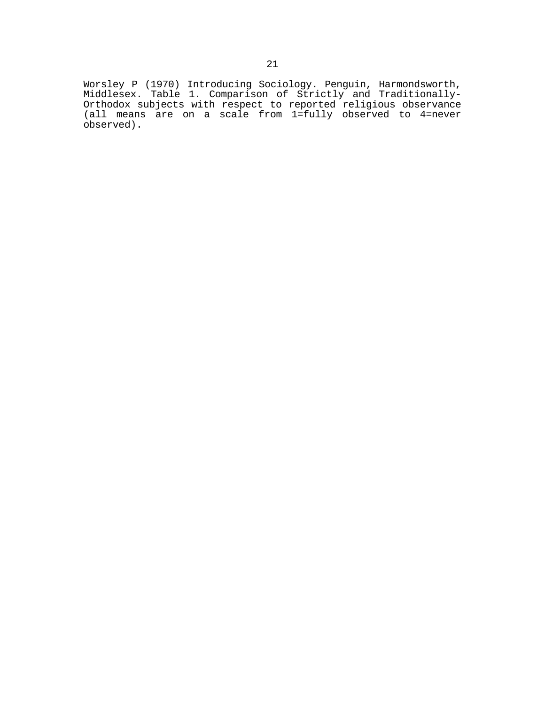Worsley P (1970) Introducing Sociology. Penguin, Harmondsworth, Middlesex. Table 1. Comparison of Strictly and Traditionally-Orthodox subjects with respect to reported religious observance (all means are on a scale from 1=fully observed to 4=never observed).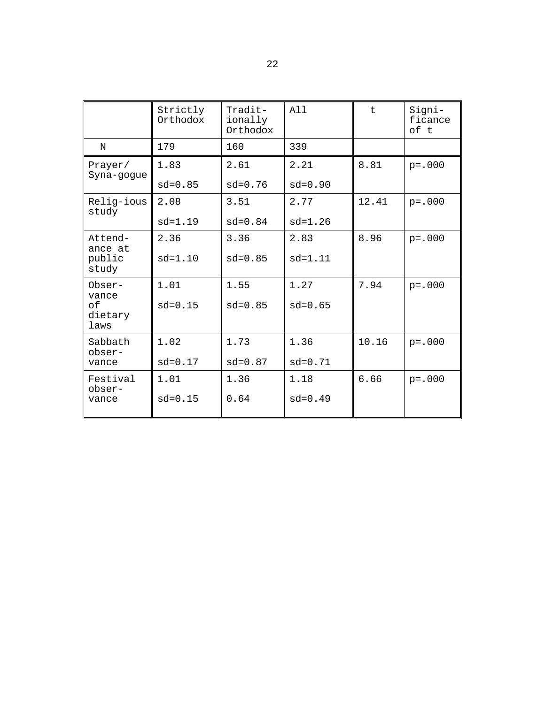|                                          | Strictly<br>Orthodox | Tradit-<br>ionally<br>Orthodox | All         | t     | Signi-<br>ficance<br>of t |
|------------------------------------------|----------------------|--------------------------------|-------------|-------|---------------------------|
| N                                        | 179                  | 160                            | 339         |       |                           |
| Prayer/<br>Syna-gogue                    | 1.83                 | 2.61                           | 2.21        | 8.81  | $p = .000$                |
|                                          | $sd = 0.85$          | $sd = 0.76$                    | $sd = 0.90$ |       |                           |
| Relig-ious<br>study                      | 2.08                 | 3.51                           | 2.77        | 12.41 | $p = .000$                |
|                                          | $sd=1.19$            | $sd = 0.84$                    | $sd=1.26$   |       |                           |
| Attend-<br>ance at<br>public<br>study    | 2.36                 | 3.36                           | 2.83        | 8.96  | $p = .000$                |
|                                          | $sd = 1.10$          | $sd = 0.85$                    | $sd=1.11$   |       |                           |
| Obser-<br>vance<br>оf<br>dietary<br>laws | 1.01                 | 1.55                           | 1.27        | 7.94  | $p = .000$                |
|                                          | $sd = 0.15$          | $sd = 0.85$                    | $sd = 0.65$ |       |                           |
| Sabbath<br>obser-<br>vance               | 1.02                 | 1.73                           | 1.36        | 10.16 | $p = .000$                |
|                                          | $sd = 0.17$          | $sd = 0.87$                    | $sd = 0.71$ |       |                           |
| Festival<br>obser-<br>vance              | 1.01                 | 1.36                           | 1.18        | 6.66  | $p = .000$                |
|                                          | $sd = 0.15$          | 0.64                           | $sd = 0.49$ |       |                           |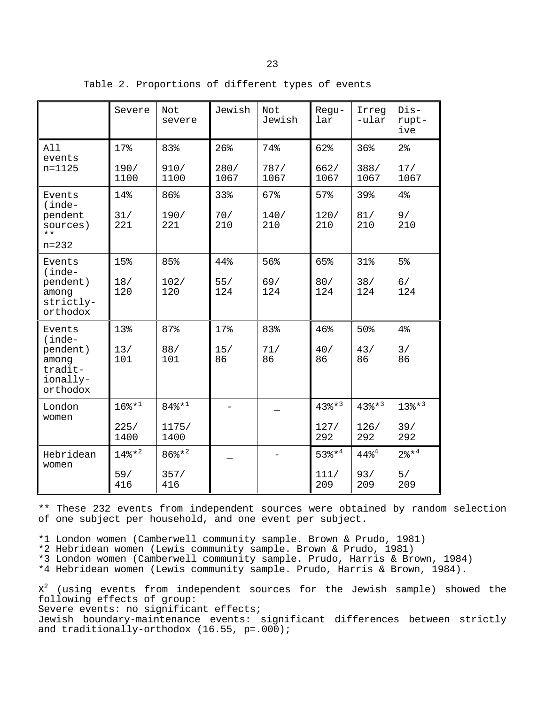|                                                                            | Severe       | Not<br>severe     | Jewish       | Not<br>Jewish | Regu-<br>lar          | Irreg<br>-ular | $Dis-$<br>rupt-<br>ive  |
|----------------------------------------------------------------------------|--------------|-------------------|--------------|---------------|-----------------------|----------------|-------------------------|
| All<br>events<br>n=1125                                                    | 17%          | 83%               | 26%          | 74%           | 62%                   | 36%            | $2\,$                   |
|                                                                            | 190/<br>1100 | 910/<br>1100      | 280/<br>1067 | 787/<br>1067  | 662/<br>1067          | 388/<br>1067   | 17/<br>1067             |
| Events<br>(inde-<br>pendent<br>sources)<br>$***$                           | 14%          | 86%               | 33%          | 67%           | 57%                   | 39%            | 4%                      |
|                                                                            | 31/<br>221   | 190/<br>221       | 70/<br>210   | 140/<br>210   | 120/<br>210           | 81/<br>210     | 9/<br>210               |
| $n = 232$                                                                  |              |                   |              |               |                       |                |                         |
| Events<br>(inde-<br>pendent)<br>among<br>strictly-<br>orthodox             | 15%          | 85%               | 44%          | 56%           | 65%                   | 31%            | 5 <sup>°</sup>          |
|                                                                            | 18/<br>120   | 102/<br>120       | 55/<br>124   | 69/<br>124    | 80/<br>124            | 38/<br>124     | 6/<br>124               |
| Events<br>$(inde-$<br>pendent)<br>among<br>tradit-<br>ionally-<br>orthodox | 13%          | 87%               | 17%          | 83%           | 46%                   | 50%            | 4%                      |
|                                                                            | 13/<br>101   | 88/<br>101        | 15/<br>86    | 71/<br>86     | 40/<br>86             | 43/<br>86      | 3/<br>86                |
| London<br>women                                                            | $168*^{1}$   | $848*^{1}$        |              |               | $43$ $*$ <sup>3</sup> | $438*^{3}$     | $13$ % $*$ <sup>3</sup> |
|                                                                            | 225/<br>1400 | 1175/<br>1400     |              |               | 127/<br>292           | 126/<br>292    | 39/<br>292              |
| Hebridean<br>women                                                         | $148*^{2}$   | $86\frac{1}{8}*2$ |              |               | $53$ $*$ <sup>4</sup> | $448^{4}$      | $28*^4$                 |
|                                                                            | 59/          | 357/              |              |               | 111/                  | 93/            | 5/                      |

Table 2. Proportions of different types of events

\*\* These 232 events from independent sources were obtained by random selection of one subject per household, and one event per subject.

209

209

209

\*1 London women (Camberwell community sample. Brown & Prudo, 1981)

\*2 Hebridean women (Lewis community sample. Brown & Prudo, 1981)

416

416

\*3 London women (Camberwell community sample. Prudo, Harris & Brown, 1984)

\*4 Hebridean women (Lewis community sample. Prudo, Harris & Brown, 1984).

 $\texttt{X}^2$  (using events from independent sources for the Jewish sample) showed the following effects of group: Severe events: no significant effects; Jewish boundary-maintenance events: significant differences between strictly and traditionally-orthodox (16.55, p=.000);